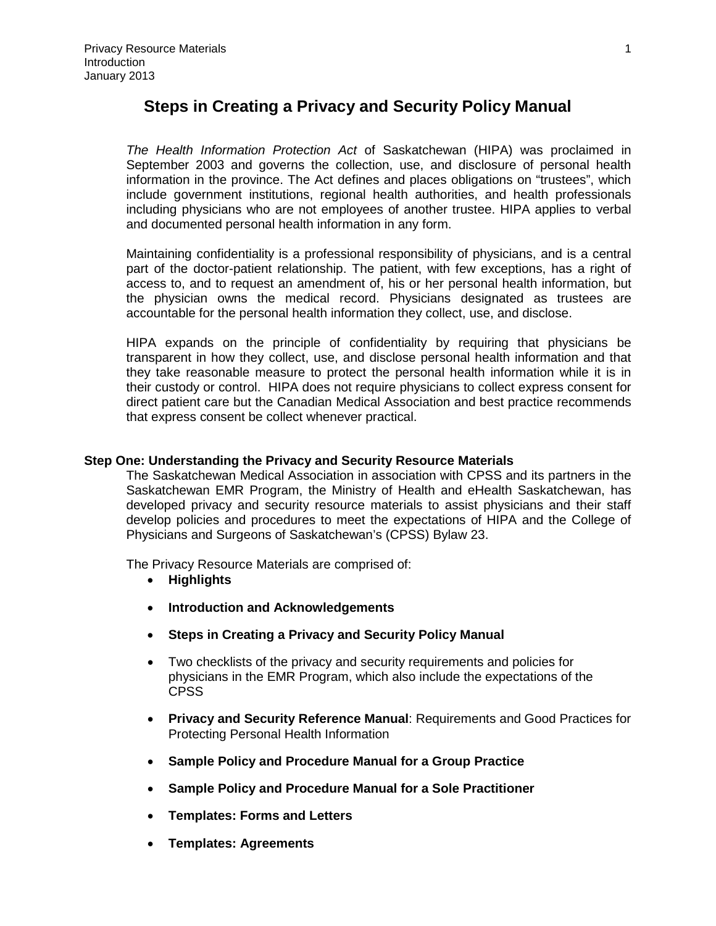# **Steps in Creating a Privacy and Security Policy Manual**

*The Health Information Protection Act* of Saskatchewan (HIPA) was proclaimed in September 2003 and governs the collection, use, and disclosure of personal health information in the province. The Act defines and places obligations on "trustees", which include government institutions, regional health authorities, and health professionals including physicians who are not employees of another trustee. HIPA applies to verbal and documented personal health information in any form.

Maintaining confidentiality is a professional responsibility of physicians, and is a central part of the doctor-patient relationship. The patient, with few exceptions, has a right of access to, and to request an amendment of, his or her personal health information, but the physician owns the medical record. Physicians designated as trustees are accountable for the personal health information they collect, use, and disclose.

HIPA expands on the principle of confidentiality by requiring that physicians be transparent in how they collect, use, and disclose personal health information and that they take reasonable measure to protect the personal health information while it is in their custody or control. HIPA does not require physicians to collect express consent for direct patient care but the Canadian Medical Association and best practice recommends that express consent be collect whenever practical.

#### **Step One: Understanding the Privacy and Security Resource Materials**

The Saskatchewan Medical Association in association with CPSS and its partners in the Saskatchewan EMR Program, the Ministry of Health and eHealth Saskatchewan, has developed privacy and security resource materials to assist physicians and their staff develop policies and procedures to meet the expectations of HIPA and the College of Physicians and Surgeons of Saskatchewan's (CPSS) Bylaw 23.

The Privacy Resource Materials are comprised of:

- **Highlights**
- **Introduction and Acknowledgements**
- **Steps in Creating a Privacy and Security Policy Manual**
- Two checklists of the privacy and security requirements and policies for physicians in the EMR Program, which also include the expectations of the CPSS
- **Privacy and Security Reference Manual**: Requirements and Good Practices for Protecting Personal Health Information
- **Sample Policy and Procedure Manual for a Group Practice**
- **Sample Policy and Procedure Manual for a Sole Practitioner**
- **Templates: Forms and Letters**
- **Templates: Agreements**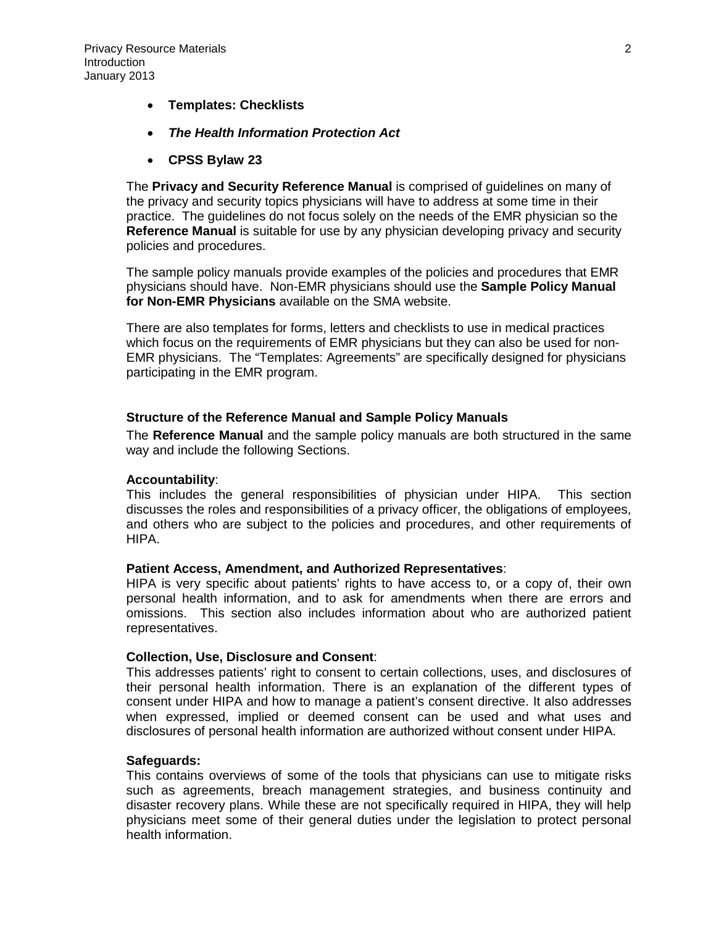- **Templates: Checklists**
- *The Health Information Protection Act*
- **CPSS Bylaw 23**

The **Privacy and Security Reference Manual** is comprised of guidelines on many of the privacy and security topics physicians will have to address at some time in their practice. The guidelines do not focus solely on the needs of the EMR physician so the **Reference Manual** is suitable for use by any physician developing privacy and security policies and procedures.

The sample policy manuals provide examples of the policies and procedures that EMR physicians should have. Non-EMR physicians should use the **Sample Policy Manual for Non-EMR Physicians** available on the SMA website.

There are also templates for forms, letters and checklists to use in medical practices which focus on the requirements of EMR physicians but they can also be used for non-EMR physicians. The "Templates: Agreements" are specifically designed for physicians participating in the EMR program.

#### **Structure of the Reference Manual and Sample Policy Manuals**

The **Reference Manual** and the sample policy manuals are both structured in the same way and include the following Sections.

#### **Accountability**:

This includes the general responsibilities of physician under HIPA. This section discusses the roles and responsibilities of a privacy officer, the obligations of employees, and others who are subject to the policies and procedures, and other requirements of HIPA.

#### **Patient Access, Amendment, and Authorized Representatives**:

HIPA is very specific about patients' rights to have access to, or a copy of, their own personal health information, and to ask for amendments when there are errors and omissions. This section also includes information about who are authorized patient representatives.

#### **Collection, Use, Disclosure and Consent**:

This addresses patients' right to consent to certain collections, uses, and disclosures of their personal health information. There is an explanation of the different types of consent under HIPA and how to manage a patient's consent directive. It also addresses when expressed, implied or deemed consent can be used and what uses and disclosures of personal health information are authorized without consent under HIPA.

#### **Safeguards:**

This contains overviews of some of the tools that physicians can use to mitigate risks such as agreements, breach management strategies, and business continuity and disaster recovery plans. While these are not specifically required in HIPA, they will help physicians meet some of their general duties under the legislation to protect personal health information.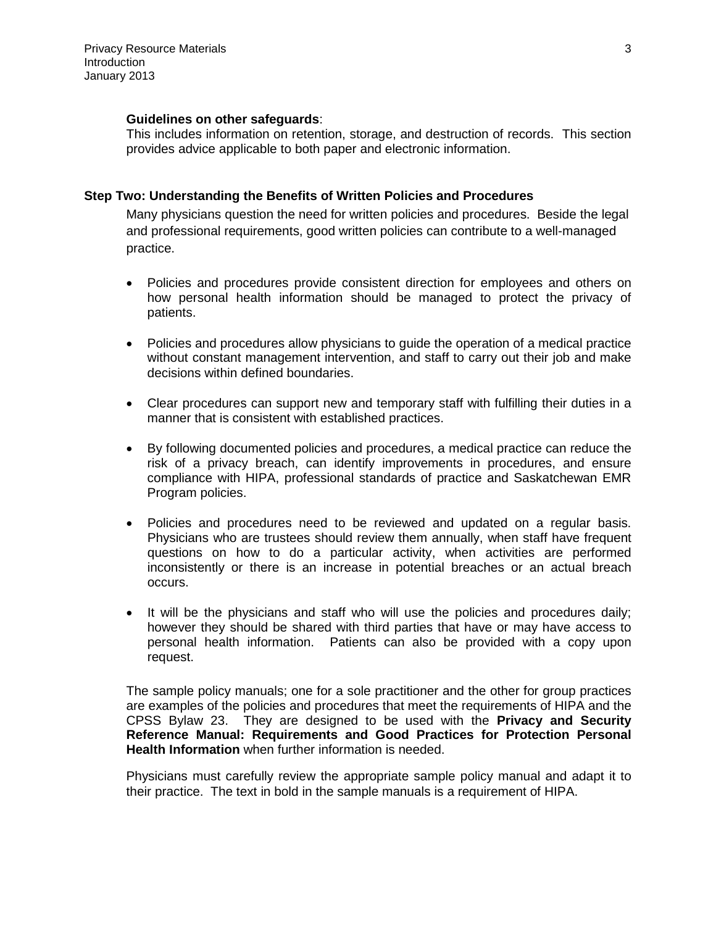#### **Guidelines on other safeguards**:

This includes information on retention, storage, and destruction of records. This section provides advice applicable to both paper and electronic information.

#### **Step Two: Understanding the Benefits of Written Policies and Procedures**

Many physicians question the need for written policies and procedures. Beside the legal and professional requirements, good written policies can contribute to a well-managed practice.

- Policies and procedures provide consistent direction for employees and others on how personal health information should be managed to protect the privacy of patients.
- Policies and procedures allow physicians to guide the operation of a medical practice without constant management intervention, and staff to carry out their job and make decisions within defined boundaries.
- Clear procedures can support new and temporary staff with fulfilling their duties in a manner that is consistent with established practices.
- By following documented policies and procedures, a medical practice can reduce the risk of a privacy breach, can identify improvements in procedures, and ensure compliance with HIPA, professional standards of practice and Saskatchewan EMR Program policies.
- Policies and procedures need to be reviewed and updated on a regular basis. Physicians who are trustees should review them annually, when staff have frequent questions on how to do a particular activity, when activities are performed inconsistently or there is an increase in potential breaches or an actual breach occurs.
- It will be the physicians and staff who will use the policies and procedures daily; however they should be shared with third parties that have or may have access to personal health information. Patients can also be provided with a copy upon request.

The sample policy manuals; one for a sole practitioner and the other for group practices are examples of the policies and procedures that meet the requirements of HIPA and the CPSS Bylaw 23. They are designed to be used with the **Privacy and Security Reference Manual: Requirements and Good Practices for Protection Personal Health Information** when further information is needed.

Physicians must carefully review the appropriate sample policy manual and adapt it to their practice. The text in bold in the sample manuals is a requirement of HIPA.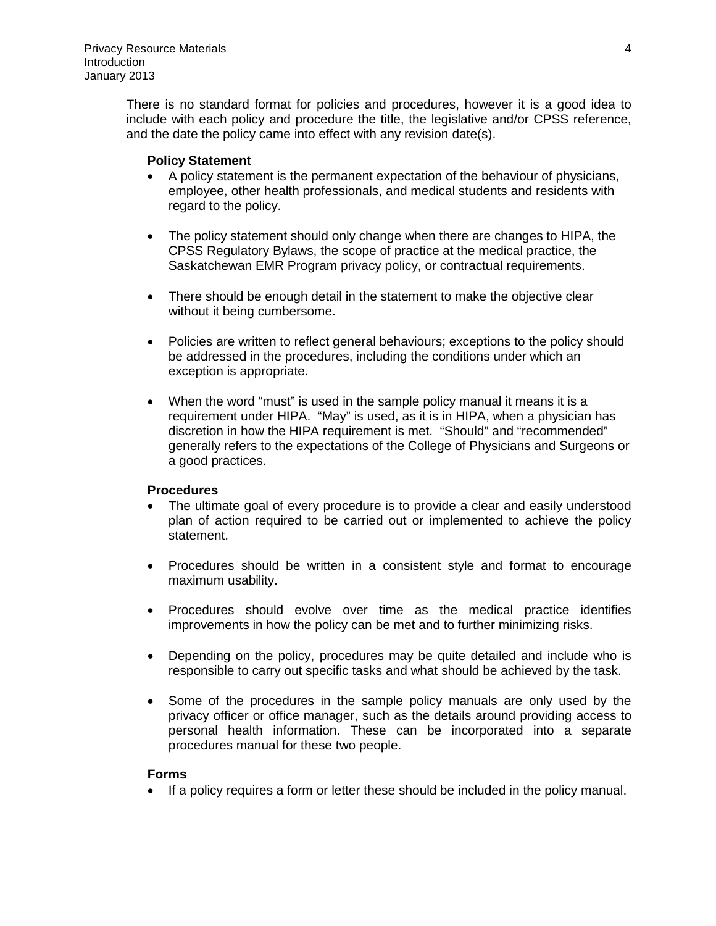There is no standard format for policies and procedures, however it is a good idea to include with each policy and procedure the title, the legislative and/or CPSS reference, and the date the policy came into effect with any revision date(s).

#### **Policy Statement**

- A policy statement is the permanent expectation of the behaviour of physicians, employee, other health professionals, and medical students and residents with regard to the policy.
- The policy statement should only change when there are changes to HIPA, the CPSS Regulatory Bylaws, the scope of practice at the medical practice, the Saskatchewan EMR Program privacy policy, or contractual requirements.
- There should be enough detail in the statement to make the objective clear without it being cumbersome.
- Policies are written to reflect general behaviours; exceptions to the policy should be addressed in the procedures, including the conditions under which an exception is appropriate.
- When the word "must" is used in the sample policy manual it means it is a requirement under HIPA. "May" is used, as it is in HIPA, when a physician has discretion in how the HIPA requirement is met. "Should" and "recommended" generally refers to the expectations of the College of Physicians and Surgeons or a good practices.

#### **Procedures**

- The ultimate goal of every procedure is to provide a clear and easily understood plan of action required to be carried out or implemented to achieve the policy statement.
- Procedures should be written in a consistent style and format to encourage maximum usability.
- Procedures should evolve over time as the medical practice identifies improvements in how the policy can be met and to further minimizing risks.
- Depending on the policy, procedures may be quite detailed and include who is responsible to carry out specific tasks and what should be achieved by the task.
- Some of the procedures in the sample policy manuals are only used by the privacy officer or office manager, such as the details around providing access to personal health information. These can be incorporated into a separate procedures manual for these two people.

#### **Forms**

• If a policy requires a form or letter these should be included in the policy manual.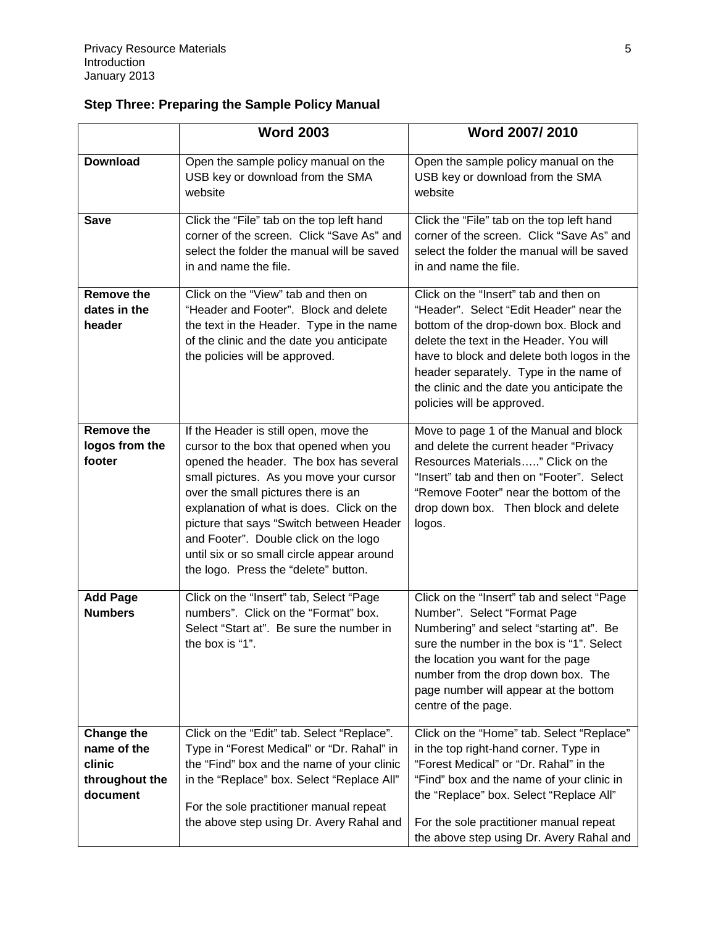## **Step Three: Preparing the Sample Policy Manual**

|                                                                          | <b>Word 2003</b>                                                                                                                                                                                                                                                                                                                                                                                                                    | Word 2007/2010                                                                                                                                                                                                                                                                                                                            |
|--------------------------------------------------------------------------|-------------------------------------------------------------------------------------------------------------------------------------------------------------------------------------------------------------------------------------------------------------------------------------------------------------------------------------------------------------------------------------------------------------------------------------|-------------------------------------------------------------------------------------------------------------------------------------------------------------------------------------------------------------------------------------------------------------------------------------------------------------------------------------------|
| <b>Download</b>                                                          | Open the sample policy manual on the<br>USB key or download from the SMA<br>website                                                                                                                                                                                                                                                                                                                                                 | Open the sample policy manual on the<br>USB key or download from the SMA<br>website                                                                                                                                                                                                                                                       |
| <b>Save</b>                                                              | Click the "File" tab on the top left hand<br>corner of the screen. Click "Save As" and<br>select the folder the manual will be saved<br>in and name the file.                                                                                                                                                                                                                                                                       | Click the "File" tab on the top left hand<br>corner of the screen. Click "Save As" and<br>select the folder the manual will be saved<br>in and name the file.                                                                                                                                                                             |
| <b>Remove the</b><br>dates in the<br>header                              | Click on the "View" tab and then on<br>"Header and Footer". Block and delete<br>the text in the Header. Type in the name<br>of the clinic and the date you anticipate<br>the policies will be approved.                                                                                                                                                                                                                             | Click on the "Insert" tab and then on<br>"Header". Select "Edit Header" near the<br>bottom of the drop-down box. Block and<br>delete the text in the Header. You will<br>have to block and delete both logos in the<br>header separately. Type in the name of<br>the clinic and the date you anticipate the<br>policies will be approved. |
| <b>Remove the</b><br>logos from the<br>footer                            | If the Header is still open, move the<br>cursor to the box that opened when you<br>opened the header. The box has several<br>small pictures. As you move your cursor<br>over the small pictures there is an<br>explanation of what is does. Click on the<br>picture that says "Switch between Header<br>and Footer". Double click on the logo<br>until six or so small circle appear around<br>the logo. Press the "delete" button. | Move to page 1 of the Manual and block<br>and delete the current header "Privacy<br>Resources Materials" Click on the<br>"Insert" tab and then on "Footer". Select<br>"Remove Footer" near the bottom of the<br>drop down box. Then block and delete<br>logos.                                                                            |
| <b>Add Page</b><br><b>Numbers</b>                                        | Click on the "Insert" tab, Select "Page<br>numbers". Click on the "Format" box.<br>Select "Start at". Be sure the number in<br>the box is "1".                                                                                                                                                                                                                                                                                      | Click on the "Insert" tab and select "Page<br>Number". Select "Format Page<br>Numbering" and select "starting at". Be<br>sure the number in the box is "1". Select<br>the location you want for the page<br>number from the drop down box. The<br>page number will appear at the bottom<br>centre of the page.                            |
| <b>Change the</b><br>name of the<br>clinic<br>throughout the<br>document | Click on the "Edit" tab. Select "Replace".<br>Type in "Forest Medical" or "Dr. Rahal" in<br>the "Find" box and the name of your clinic<br>in the "Replace" box. Select "Replace All"<br>For the sole practitioner manual repeat<br>the above step using Dr. Avery Rahal and                                                                                                                                                         | Click on the "Home" tab. Select "Replace"<br>in the top right-hand corner. Type in<br>"Forest Medical" or "Dr. Rahal" in the<br>"Find" box and the name of your clinic in<br>the "Replace" box. Select "Replace All"<br>For the sole practitioner manual repeat<br>the above step using Dr. Avery Rahal and                               |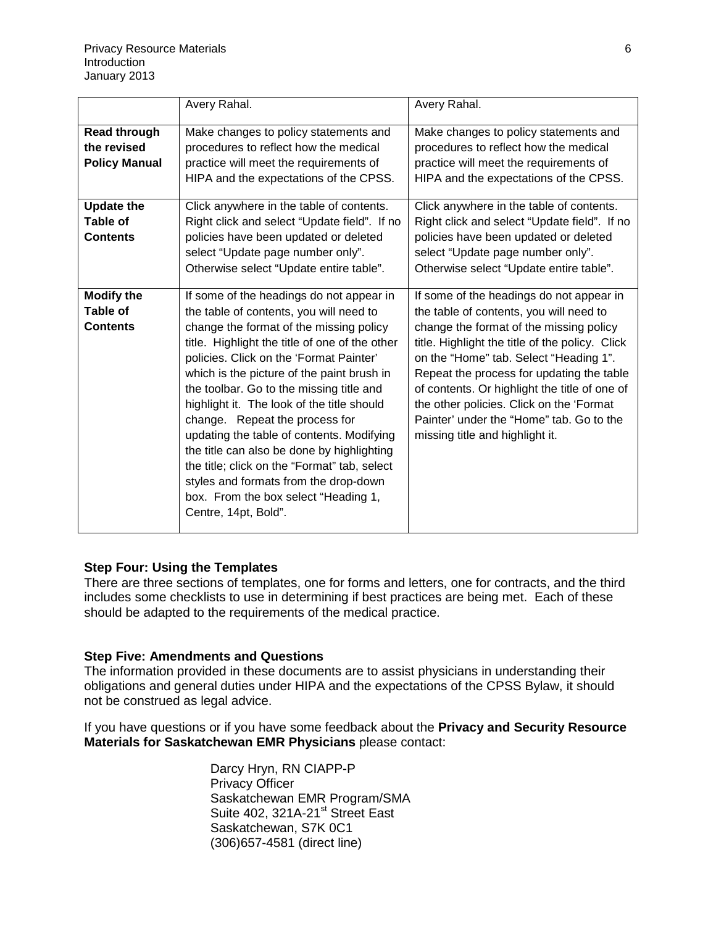|                                                            | Avery Rahal.                                                                                                                                                                                                                                                                                                                                                                                                                                                                                                                                                                                                                                              | Avery Rahal.                                                                                                                                                                                                                                                                                                                                                                                                                                         |
|------------------------------------------------------------|-----------------------------------------------------------------------------------------------------------------------------------------------------------------------------------------------------------------------------------------------------------------------------------------------------------------------------------------------------------------------------------------------------------------------------------------------------------------------------------------------------------------------------------------------------------------------------------------------------------------------------------------------------------|------------------------------------------------------------------------------------------------------------------------------------------------------------------------------------------------------------------------------------------------------------------------------------------------------------------------------------------------------------------------------------------------------------------------------------------------------|
| <b>Read through</b><br>the revised<br><b>Policy Manual</b> | Make changes to policy statements and<br>procedures to reflect how the medical<br>practice will meet the requirements of<br>HIPA and the expectations of the CPSS.                                                                                                                                                                                                                                                                                                                                                                                                                                                                                        | Make changes to policy statements and<br>procedures to reflect how the medical<br>practice will meet the requirements of<br>HIPA and the expectations of the CPSS.                                                                                                                                                                                                                                                                                   |
| <b>Update the</b><br><b>Table of</b><br><b>Contents</b>    | Click anywhere in the table of contents.<br>Right click and select "Update field". If no<br>policies have been updated or deleted<br>select "Update page number only".<br>Otherwise select "Update entire table".                                                                                                                                                                                                                                                                                                                                                                                                                                         | Click anywhere in the table of contents.<br>Right click and select "Update field". If no<br>policies have been updated or deleted<br>select "Update page number only".<br>Otherwise select "Update entire table".                                                                                                                                                                                                                                    |
| <b>Modify the</b><br>Table of<br><b>Contents</b>           | If some of the headings do not appear in<br>the table of contents, you will need to<br>change the format of the missing policy<br>title. Highlight the title of one of the other<br>policies. Click on the 'Format Painter'<br>which is the picture of the paint brush in<br>the toolbar. Go to the missing title and<br>highlight it. The look of the title should<br>change. Repeat the process for<br>updating the table of contents. Modifying<br>the title can also be done by highlighting<br>the title; click on the "Format" tab, select<br>styles and formats from the drop-down<br>box. From the box select "Heading 1,<br>Centre, 14pt, Bold". | If some of the headings do not appear in<br>the table of contents, you will need to<br>change the format of the missing policy<br>title. Highlight the title of the policy. Click<br>on the "Home" tab. Select "Heading 1".<br>Repeat the process for updating the table<br>of contents. Or highlight the title of one of<br>the other policies. Click on the 'Format<br>Painter' under the "Home" tab. Go to the<br>missing title and highlight it. |

### **Step Four: Using the Templates**

There are three sections of templates, one for forms and letters, one for contracts, and the third includes some checklists to use in determining if best practices are being met. Each of these should be adapted to the requirements of the medical practice.

#### **Step Five: Amendments and Questions**

The information provided in these documents are to assist physicians in understanding their obligations and general duties under HIPA and the expectations of the CPSS Bylaw, it should not be construed as legal advice.

If you have questions or if you have some feedback about the **Privacy and Security Resource Materials for Saskatchewan EMR Physicians** please contact:

> Darcy Hryn, RN CIAPP-P Privacy Officer Saskatchewan EMR Program/SMA Suite 402, 321A-21<sup>st</sup> Street East Saskatchewan, S7K 0C1 (306)657-4581 (direct line)